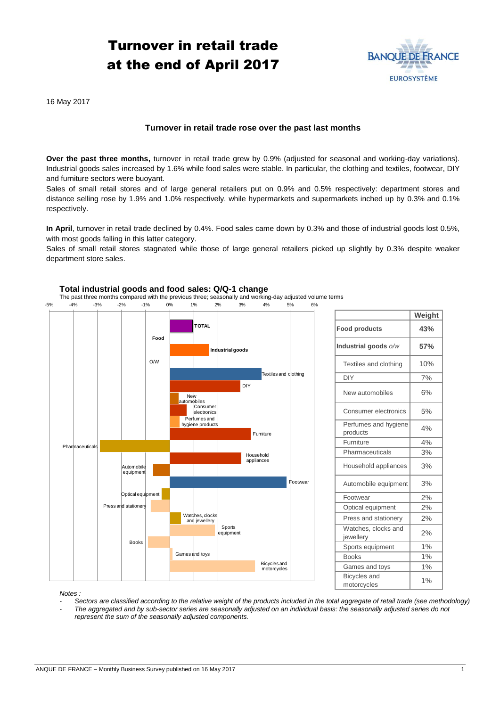# Turnover in retail trade at the end of April 2017



16 May 2017

## **Turnover in retail trade rose over the past last months**

**Over the past three months,** turnover in retail trade grew by 0.9% (adjusted for seasonal and working-day variations). Industrial goods sales increased by 1.6% while food sales were stable. In particular, the clothing and textiles, footwear, DIY and furniture sectors were buoyant.

Sales of small retail stores and of large general retailers put on 0.9% and 0.5% respectively: department stores and distance selling rose by 1.9% and 1.0% respectively, while hypermarkets and supermarkets inched up by 0.3% and 0.1% respectively.

**In April**, turnover in retail trade declined by 0.4%. Food sales came down by 0.3% and those of industrial goods lost 0.5%, with most goods falling in this latter category.

Sales of small retail stores stagnated while those of large general retailers picked up slightly by 0.3% despite weaker department store sales.



### **Total industrial goods and food sales: Q/Q-1 change**

*Notes :* 

- *- Sectors are classified according to the relative weight of the products included in the total aggregate of retail trade (see methodology)*
- *- The aggregated and by sub-sector series are seasonally adjusted on an individual basis: the seasonally adjusted series do not represent the sum of the seasonally adjusted components.*